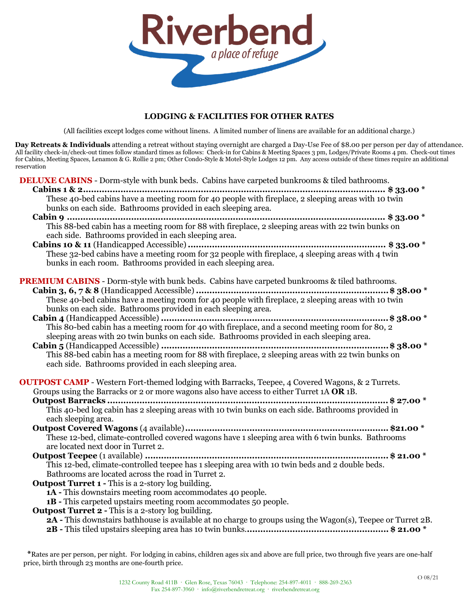

# **LODGING & FACILITIES FOR OTHER RATES**

(All facilities except lodges come without linens. A limited number of linens are available for an additional charge.)

**Day Retreats & Individuals** attending a retreat without staying overnight are charged a Day-Use Fee of \$8.00 per person per day of attendance. All facility check-in/check-out times follow standard times as follows: Check-in for Cabins & Meeting Spaces 3 pm, Lodges/Private Rooms 4 pm. Check-out times for Cabins, Meeting Spaces, Lenamon & G. Rollie 2 pm; Other Condo-Style & Motel-Style Lodges 12 pm. Any access outside of these times require an additional reservation

**DELUXE CABINS** - Dorm-style with bunk beds. Cabins have carpeted bunkrooms & tiled bathrooms.

| These 40-bed cabins have a meeting room for 40 people with fireplace, 2 sleeping areas with 10 twin<br>bunks on each side. Bathrooms provided in each sleeping area.                                                                                    |
|---------------------------------------------------------------------------------------------------------------------------------------------------------------------------------------------------------------------------------------------------------|
| This 88-bed cabin has a meeting room for 88 with fireplace, 2 sleeping areas with 22 twin bunks on<br>each side. Bathrooms provided in each sleeping area.                                                                                              |
| These 32-bed cabins have a meeting room for 32 people with fireplace, 4 sleeping areas with 4 twin<br>bunks in each room. Bathrooms provided in each sleeping area.                                                                                     |
| <b>PREMIUM CABINS</b> - Dorm-style with bunk beds. Cabins have carpeted bunkrooms & tiled bathrooms.<br>bunks on each side. Bathrooms provided in each sleeping area.                                                                                   |
| sleeping areas with 20 twin bunks on each side. Bathrooms provided in each sleeping area.<br>This 88-bed cabin has a meeting room for 88 with fireplace, 2 sleeping areas with 22 twin bunks on<br>each side. Bathrooms provided in each sleeping area. |
| <b>OUTPOST CAMP</b> - Western Fort-themed lodging with Barracks, Teepee, 4 Covered Wagons, & 2 Turrets.<br>Groups using the Barracks or 2 or more wagons also have access to either Turret 1A OR 1B.                                                    |
| each sleeping area.                                                                                                                                                                                                                                     |
| These 12-bed, climate-controlled covered wagons have 1 sleeping area with 6 twin bunks. Bathrooms<br>are located next door in Turret 2.                                                                                                                 |
| This 12-bed, climate-controlled teepee has 1 sleeping area with 10 twin beds and 2 double beds.<br>Bathrooms are located across the road in Turret 2.<br><b>Outpost Turret 1 - This is a 2-story log building.</b>                                      |
| <b>1A</b> - This downstairs meeting room accommodates 40 people.<br>1B - This carpeted upstairs meeting room accommodates 50 people.<br><b>Outpost Turret 2 - This is a 2-story log building.</b>                                                       |
| <b>2A</b> - This downstairs bathhouse is available at no charge to groups using the Wagon(s), Teepee or Turret 2B.                                                                                                                                      |

**\***Rates are per person, per night. For lodging in cabins, children ages six and above are full price, two through five years are one-half price, birth through 23 months are one-fourth price.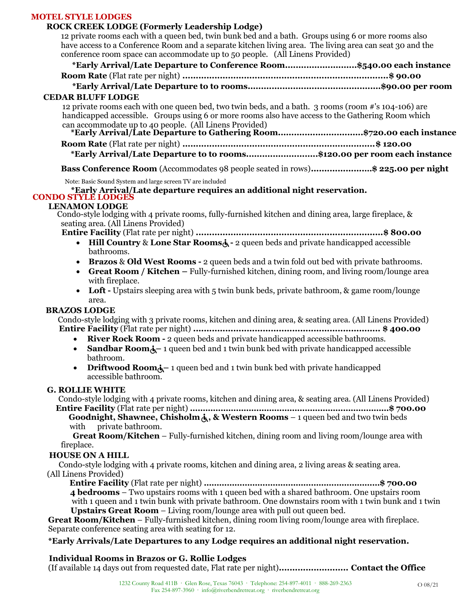## **MOTEL STYLE LODGES**

## **ROCK CREEK LODGE (Formerly Leadership Lodge)**

12 private rooms each with a queen bed, twin bunk bed and a bath. Groups using 6 or more rooms also have access to a Conference Room and a separate kitchen living area. The living area can seat 30 and the conference room space can accommodate up to 50 people. (All Linens Provided)

| conference room space can accommodate up to go people. This Emens Frovided)                                                     |  |  |
|---------------------------------------------------------------------------------------------------------------------------------|--|--|
| *Early Arrival/Late Departure to Conference Room\$540.00 each instance                                                          |  |  |
|                                                                                                                                 |  |  |
|                                                                                                                                 |  |  |
| <b>CEDAR BLUFF LODGE</b>                                                                                                        |  |  |
| 12 private rooms each with one queen bed, two twin beds, and a bath. 3 rooms (room #'s 104-106) are                             |  |  |
| handicapped accessible. Groups using 6 or more rooms also have access to the Gathering Room which                               |  |  |
| can accommodate up to 40 people. (All Linens Provided)<br>*Early Arrival/Late Departure to Gathering Room\$720.00 each instance |  |  |
|                                                                                                                                 |  |  |
|                                                                                                                                 |  |  |

**\*Early Arrival/Late Departure to to rooms...........................\$120.00 per room each instance**

**Bass Conference Room** (Accommodates 98 people seated in rows)**....................…\$ 225.00 per night**

Note: Basic Sound System and large screen TV are included

**\*Early Arrival/Late departure requires an additional night reservation.**

#### **CONDO STYLE LODGES LENAMON LODGE**

Condo-style lodging with 4 private rooms, fully-furnished kitchen and dining area, large fireplace, & seating area. (All Linens Provided)

**Entire Facility** (Flat rate per night) **......................................................................\$ 800.00**

- **Hill Country & Lone Star Rooms** $\dot{\mathbf{A}}$  2 queen beds and private handicapped accessible bathrooms.
- **Brazos** & **Old West Rooms -** 2 queen beds and a twin fold out bed with private bathrooms.
- **Great Room / Kitchen –** Fully-furnished kitchen, dining room, and living room/lounge area with fireplace.
- Loft Upstairs sleeping area with 5 twin bunk beds, private bathroom, & game room/lounge area.

## **BRAZOS LODGE**

Condo-style lodging with 3 private rooms, kitchen and dining area, & seating area. (All Linens Provided) **Entire Facility** (Flat rate per night) **...................................................................... \$ 400.00**

- **River Rock Room -** 2 queen beds and private handicapped accessible bathrooms.
- **Sandbar Room**<sup> $\lambda$ </sup> 1 queen bed and 1 twin bunk bed with private handicapped accessible bathroom.
- **Driftwood Room**<sup> $\lambda$ </sup> 1 queen bed and 1 twin bunk bed with private handicapped accessible bathroom.

#### **G. ROLLIE WHITE**

Condo-style lodging with 4 private rooms, kitchen and dining area, & seating area. (All Linens Provided) **Entire Facility** (Flat rate per night) **……………………………………………………………………\$ 700.00**

**Goodnight, Shawnee, Chisholm , & Western Rooms** – 1 queen bed and two twin beds with private bathroom.

**Great Room/Kitchen** – Fully-furnished kitchen, dining room and living room/lounge area with fireplace.

## **HOUSE ON A HILL**

 Condo-style lodging with 4 private rooms, kitchen and dining area, 2 living areas & seating area. (All Linens Provided)

**Entire Facility** (Flat rate per night) **……………………………………………………………\$ 700.00 4 bedrooms** – Two upstairs rooms with 1 queen bed with a shared bathroom. One upstairs room

with 1 queen and 1 twin bunk with private bathroom. One downstairs room with 1 twin bunk and 1 twin **Upstairs Great Room** – Living room/lounge area with pull out queen bed.

**Great Room/Kitchen** – Fully-furnished kitchen, dining room living room/lounge area with fireplace. Separate conference seating area with seating for 12.

## **\*Early Arrivals/Late Departures to any Lodge requires an additional night reservation.**

## **Individual Rooms in Brazos or G. Rollie Lodges**

(If available 14 days out from requested date, Flat rate per night)**.......................... Contact the Office**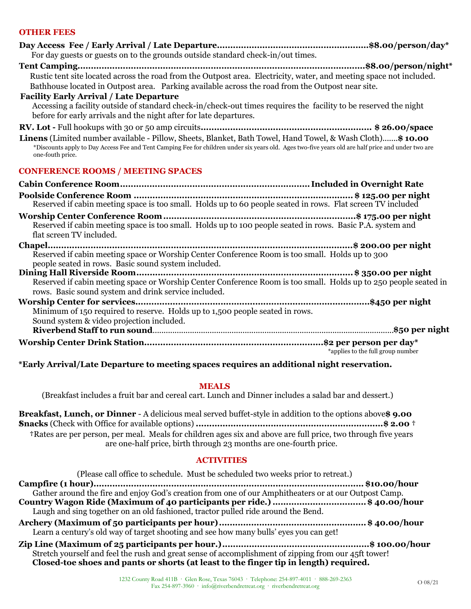# **OTHER FEES**

| For day guests or guests on to the grounds outside standard check-in/out times.                                                                                                                                                                                                     |
|-------------------------------------------------------------------------------------------------------------------------------------------------------------------------------------------------------------------------------------------------------------------------------------|
| Rustic tent site located across the road from the Outpost area. Electricity, water, and meeting space not included.<br>Bathhouse located in Outpost area. Parking available across the road from the Outpost near site.                                                             |
| <b>Facility Early Arrival / Late Departure</b><br>Accessing a facility outside of standard check-in/check-out times requires the facility to be reserved the night<br>before for early arrivals and the night after for late departures.                                            |
|                                                                                                                                                                                                                                                                                     |
| Linens (Limited number available - Pillow, Sheets, Blanket, Bath Towel, Hand Towel, & Wash Cloth) \$10.00<br>*Discounts apply to Day Access Fee and Tent Camping Fee for children under six years old. Ages two-five years old are half price and under two are<br>one-fouth price. |
| <b>CONFERENCE ROOMS / MEETING SPACES</b>                                                                                                                                                                                                                                            |
|                                                                                                                                                                                                                                                                                     |
| Reserved if cabin meeting space is too small. Holds up to 60 people seated in rows. Flat screen TV included                                                                                                                                                                         |
| Reserved if cabin meeting space is too small. Holds up to 100 people seated in rows. Basic P.A. system and<br>flat screen TV included.                                                                                                                                              |
| Reserved if cabin meeting space or Worship Center Conference Room is too small. Holds up to 300<br>people seated in rows. Basic sound system included.                                                                                                                              |
| Reserved if cabin meeting space or Worship Center Conference Room is too small. Holds up to 250 people seated in<br>rows. Basic sound system and drink service included.                                                                                                            |
| Minimum of 150 required to reserve. Holds up to 1,500 people seated in rows.<br>Sound system & video projection included.                                                                                                                                                           |
|                                                                                                                                                                                                                                                                                     |
| *applies to the full group number                                                                                                                                                                                                                                                   |
| *Early Arrival/Late Departure to meeting spaces requires an additional night reservation.                                                                                                                                                                                           |

#### **MEALS**

(Breakfast includes a fruit bar and cereal cart. Lunch and Dinner includes a salad bar and dessert.)

**Breakfast, Lunch, or Dinner** - A delicious meal served buffet-style in addition to the options above**\$ 9.00 †Snacks** (Check with Office for available options) **......................................................................\$ 2.00 † †**Rates are per person, per meal. Meals for children ages six and above are full price, two through five years are one-half price, birth through 23 months are one-fourth price.

#### **ACTIVITIES**

| (Please call office to schedule. Must be scheduled two weeks prior to retreat.)                                                                                                               |
|-----------------------------------------------------------------------------------------------------------------------------------------------------------------------------------------------|
|                                                                                                                                                                                               |
| Gather around the fire and enjoy God's creation from one of our Amphitheaters or at our Outpost Camp.                                                                                         |
| Country Wagon Ride (Maximum of 40 participants per ride.) \$ 40.00/hour<br>Laugh and sing together on an old fashioned, tractor pulled ride around the Bend.                                  |
| Learn a century's old way of target shooting and see how many bulls' eyes you can get!                                                                                                        |
| Stretch yourself and feel the rush and great sense of accomplishment of zipping from our 45ft tower!<br>Closed-toe shoes and pants or shorts (at least to the finger tip in length) required. |